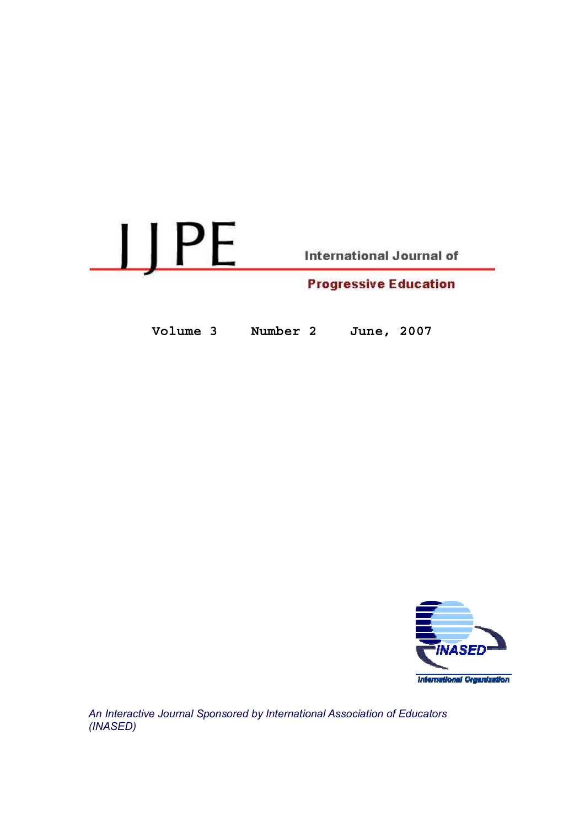

Volume 3 Number 2

June, 2007



An Interactive Journal Sponsored by International Association of Educators (INASED)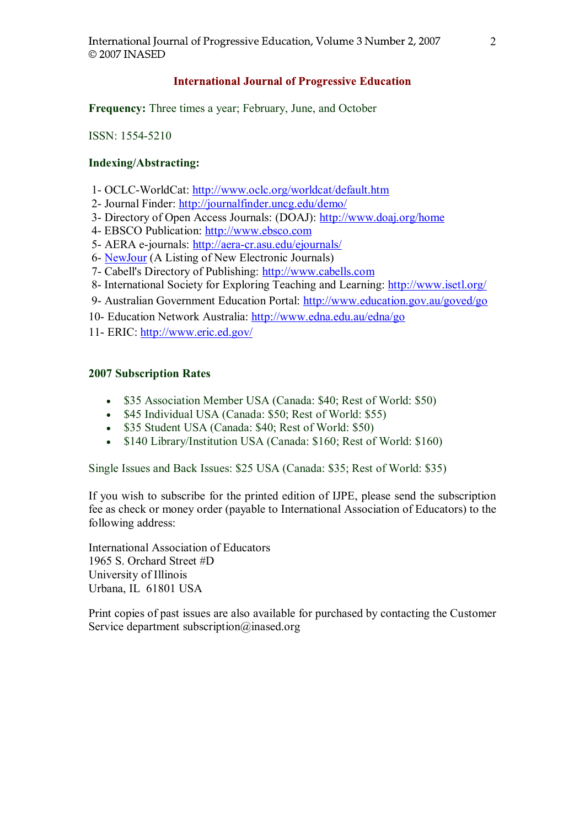# **International Journal of Progressive Education**

Frequency: Three times a year; February, June, and October

ISSN: 1554-5210

# Indexing/Abstracting:

- 1- OCLC-WorldCat: http://www.oclc.org/worldcat/default.htm
- 2- Journal Finder: http://journalfinder.uncg.edu/demo/
- 3- Directory of Open Access Journals: (DOAJ): http://www.doaj.org/home
- 4- EBSCO Publication: http://www.ebsco.com
- 5- AERA e-journals: http://aera-cr.asu.edu/ejournals/
- 6- NewJour (A Listing of New Electronic Journals)
- 7- Cabell's Directory of Publishing: http://www.cabells.com
- 8- International Society for Exploring Teaching and Learning: http://www.isetl.org/
- 9- Australian Government Education Portal: http://www.education.gov.au/goved/go
- 10- Education Network Australia: http://www.edna.edu.au/edna/go
- 11- ERIC: http://www.eric.ed.gov/

# 2007 Subscription Rates

- \$35 Association Member USA (Canada: \$40; Rest of World: \$50)  $\bullet$
- \$45 Individual USA (Canada: \$50; Rest of World: \$55)
- \$35 Student USA (Canada: \$40; Rest of World: \$50)
- \$140 Library/Institution USA (Canada: \$160; Rest of World: \$160)

Single Issues and Back Issues: \$25 USA (Canada: \$35; Rest of World: \$35)

If you wish to subscribe for the printed edition of IJPE, please send the subscription fee as check or money order (payable to International Association of Educators) to the following address:

International Association of Educators 1965 S. Orchard Street #D University of Illinois Urbana, IL 61801 USA

Print copies of past issues are also available for purchased by contacting the Customer Service department subscription@inased.org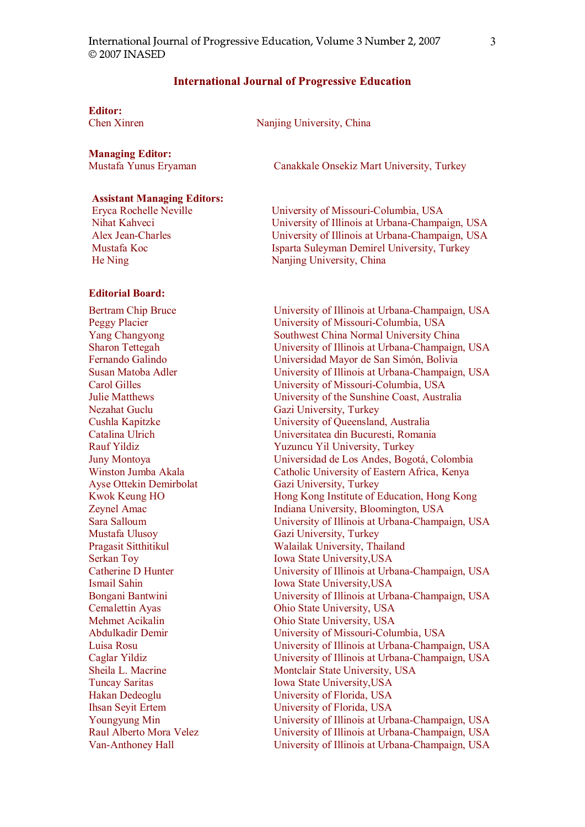### **International Journal of Progressive Education**

Editor:<br>Chen Xinren

Nanjing University, China

**Managing Editor:**<br>Mustafa Yunus Eryaman

Assistant Managing Editors:

Eryca Rochelle Neville Nihat Kahveci Alex Jean-Charles Mustafa Koc He Ning

#### Editorial Board:

Bertram Chip Bruce Peggy Placier Yang Changyong Sharon Tettegah Fernando Galindo Susan Matoba Adler Carol Gilles Julie Matthews Nezahat Guclu Cushla Kapitzke Catalina Ulrich Rauf Yildiz Juny Montoya Winston Jumba Akala Ayse Ottekin Demirbolat Kwok Keung HO Zeynel Amac Sara Salloum Mustafa Ulusoy Pragasit Sitthitikul Serkan Toy Catherine D Hunter Ismail Sahin Bongani Bantwini Cemalettin Ayas Mehmet Acikalin Abdulkadir Demir Luisa Rosu Caglar Yildiz Sheila L. Macrine Tuncay Saritas Hakan Dedeoglu Ihsan Seyit Ertem Youngyung Min Raul Alberto Mora Velez Van-Anthoney Hall

Canakkale Onsekiz Mart University, Turkey

University of Missouri-Columbia, USA University of Illinois at Urbana-Champaign, USA University of Illinois at Urbana-Champaign, USA Isparta Suleyman Demirel University, Turkey Nanjing University, China

University of Illinois at Urbana-Champaign, USA University of Missouri-Columbia, USA Southwest China Normal University China University of Illinois at Urbana-Champaign, USA Universidad Mayor de San Simón, Bolivia University of Illinois at Urbana-Champaign, USA University of Missouri-Columbia, USA University of the Sunshine Coast, Australia Gazi University, Turkey University of Queensland, Australia Universitatea din Bucuresti, Romania Yuzuncu Yil University, Turkey Universidad de Los Andes, Bogoti, Colombia Catholic University of Eastern Africa, Kenya Gazi University, Turkey Hong Kong Institute of Education, Hong Kong Indiana University, Bloomington, USA University of Illinois at Urbana-Champaign, USA Gazi University, Turkey Walailak University, Thailand Iowa State University,USA University of Illinois at Urbana-Champaign, USA Iowa State University,USA University of Illinois at Urbana-Champaign, USA Ohio State University, USA Ohio State University, USA University of Missouri-Columbia, USA University of Illinois at Urbana-Champaign, USA University of Illinois at Urbana-Champaign, USA Montclair State University, USA Iowa State University,USA University of Florida, USA University of Florida, USA University of Illinois at Urbana-Champaign, USA University of Illinois at Urbana-Champaign, USA University of Illinois at Urbana-Champaign, USA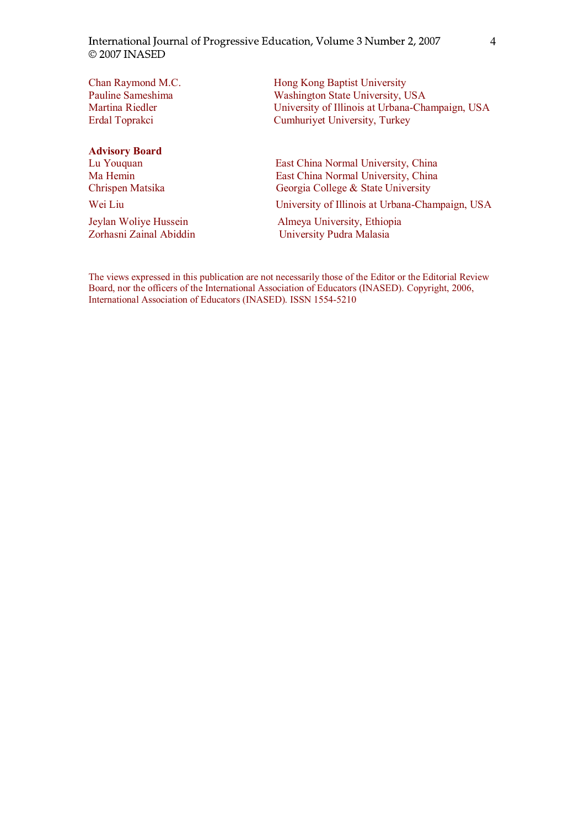Chan Raymond M.C. Pauline Sameshima Martina Riedler Erdal Toprakci

# Advisory Board

Hong Kong Baptist University Washington State University, USA University of Illinois at Urbana-Champaign, USA Cumhuriyet University, Turkey

Lu Youquan East China Normal University, China Ma Hemin East China Normal University, China<br>Chrispen Matsika Georgia College & State University Georgia College & State University

Wei Liu University of Illinois at Urbana-Champaign, USA

Jeylan Woliye Hussein<br>
Zorhasni Zainal Abiddin<br>
University Pudra Malasia University Pudra Malasia

The views expressed in this publication are not necessarily those of the Editor or the Editorial Review Board, nor the officers of the International Association of Educators (INASED). Copyright, 2006, International Association of Educators (INASED). ISSN 1554-5210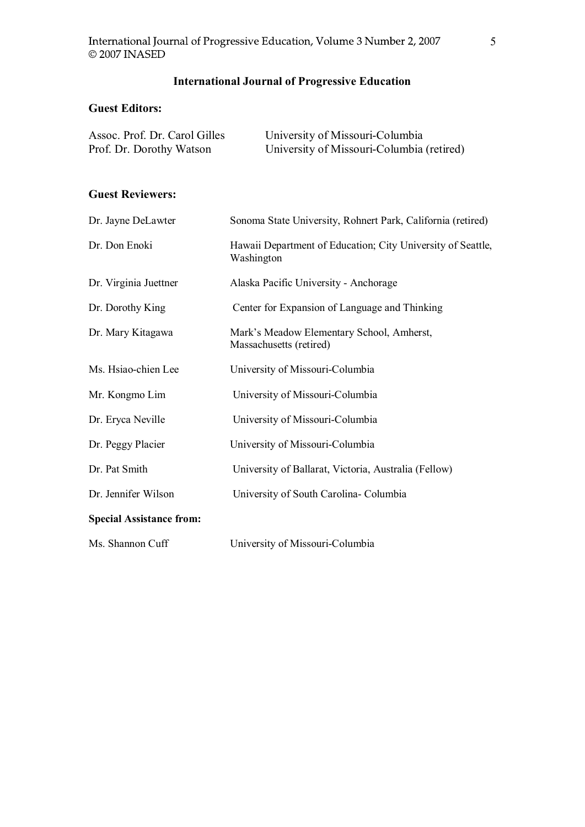# International Journal of Progressive Education

# Guest Editors:

| Assoc. Prof. Dr. Carol Gilles | University of Missouri-Columbia           |
|-------------------------------|-------------------------------------------|
| Prof. Dr. Dorothy Watson      | University of Missouri-Columbia (retired) |

# Guest Reviewers:

| Dr. Jayne DeLawter              | Sonoma State University, Rohnert Park, California (retired)               |
|---------------------------------|---------------------------------------------------------------------------|
| Dr. Don Enoki                   | Hawaii Department of Education; City University of Seattle,<br>Washington |
| Dr. Virginia Juettner           | Alaska Pacific University - Anchorage                                     |
| Dr. Dorothy King                | Center for Expansion of Language and Thinking                             |
| Dr. Mary Kitagawa               | Mark's Meadow Elementary School, Amherst,<br>Massachusetts (retired)      |
| Ms. Hsiao-chien Lee             | University of Missouri-Columbia                                           |
| Mr. Kongmo Lim                  | University of Missouri-Columbia                                           |
| Dr. Eryca Neville               | University of Missouri-Columbia                                           |
| Dr. Peggy Placier               | University of Missouri-Columbia                                           |
| Dr. Pat Smith                   | University of Ballarat, Victoria, Australia (Fellow)                      |
| Dr. Jennifer Wilson             | University of South Carolina- Columbia                                    |
| <b>Special Assistance from:</b> |                                                                           |
| Ms. Shannon Cuff                | University of Missouri-Columbia                                           |